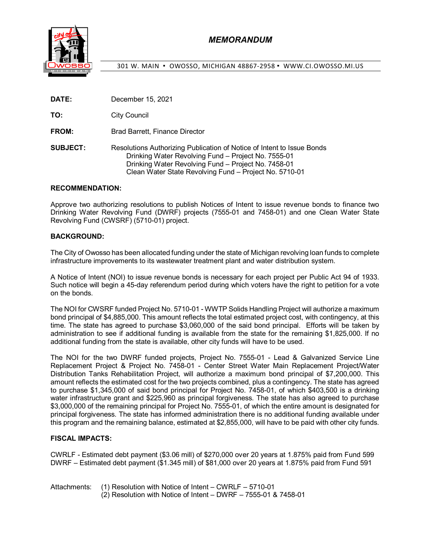

301 W. MAIN · OWOSSO, MICHIGAN 48867-2958 · WWW.CI.OWOSSO.MI.US

|  | DATE: | December 15, 2021 |
|--|-------|-------------------|
|--|-------|-------------------|

**TO:** City Council

**FROM:** Brad Barrett, Finance Director

**SUBJECT:** Resolutions Authorizing Publication of Notice of Intent to Issue Bonds Drinking Water Revolving Fund – Project No. 7555-01 Drinking Water Revolving Fund – Project No. 7458-01 Clean Water State Revolving Fund – Project No. 5710-01

#### **RECOMMENDATION:**

Approve two authorizing resolutions to publish Notices of Intent to issue revenue bonds to finance two Drinking Water Revolving Fund (DWRF) projects (7555-01 and 7458-01) and one Clean Water State Revolving Fund (CWSRF) (5710-01) project.

#### **BACKGROUND:**

The City of Owosso has been allocated funding under the state of Michigan revolving loan funds to complete infrastructure improvements to its wastewater treatment plant and water distribution system.

A Notice of Intent (NOI) to issue revenue bonds is necessary for each project per Public Act 94 of 1933. Such notice will begin a 45-day referendum period during which voters have the right to petition for a vote on the bonds.

The NOI for CWSRF funded Project No. 5710-01 - WWTP Solids Handling Project will authorize a maximum bond principal of \$4,885,000. This amount reflects the total estimated project cost, with contingency, at this time. The state has agreed to purchase \$3,060,000 of the said bond principal. Efforts will be taken by administration to see if additional funding is available from the state for the remaining \$1,825,000. If no additional funding from the state is available, other city funds will have to be used.

The NOI for the two DWRF funded projects, Project No. 7555-01 - Lead & Galvanized Service Line Replacement Project & Project No. 7458-01 - Center Street Water Main Replacement Project/Water Distribution Tanks Rehabilitation Project, will authorize a maximum bond principal of \$7,200,000. This amount reflects the estimated cost for the two projects combined, plus a contingency. The state has agreed to purchase \$1,345,000 of said bond principal for Project No. 7458-01, of which \$403,500 is a drinking water infrastructure grant and \$225,960 as principal forgiveness. The state has also agreed to purchase \$3,000,000 of the remaining principal for Project No. 7555-01, of which the entire amount is designated for principal forgiveness. The state has informed administration there is no additional funding available under this program and the remaining balance, estimated at \$2,855,000, will have to be paid with other city funds.

### **FISCAL IMPACTS:**

CWRLF - Estimated debt payment (\$3.06 mill) of \$270,000 over 20 years at 1.875% paid from Fund 599 DWRF – Estimated debt payment (\$1.345 mill) of \$81,000 over 20 years at 1.875% paid from Fund 591

Attachments: (1) Resolution with Notice of Intent – CWRLF – 5710-01 (2) Resolution with Notice of Intent – DWRF – 7555-01 & 7458-01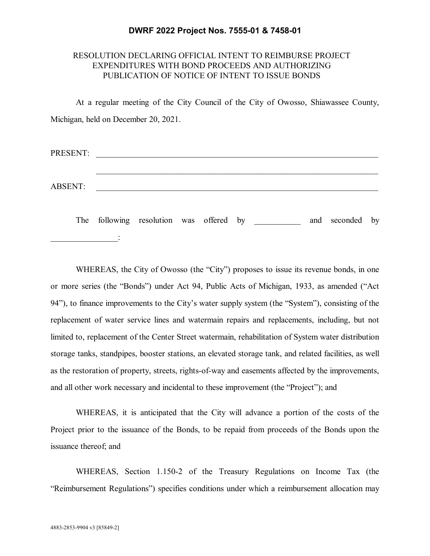### **DWRF 2022 Project Nos. 7555-01 & 7458-01**

### RESOLUTION DECLARING OFFICIAL INTENT TO REIMBURSE PROJECT EXPENDITURES WITH BOND PROCEEDS AND AUTHORIZING PUBLICATION OF NOTICE OF INTENT TO ISSUE BONDS

At a regular meeting of the City Council of the City of Owosso, Shiawassee County, Michigan, held on December 20, 2021.

| PRESENT:       |  |
|----------------|--|
|                |  |
|                |  |
| <b>ABSENT:</b> |  |
|                |  |

The following resolution was offered by and seconded by  $\frac{1}{2}$ 

WHEREAS, the City of Owosso (the "City") proposes to issue its revenue bonds, in one or more series (the "Bonds") under Act 94, Public Acts of Michigan, 1933, as amended ("Act 94"), to finance improvements to the City's water supply system (the "System"), consisting of the replacement of water service lines and watermain repairs and replacements, including, but not limited to, replacement of the Center Street watermain, rehabilitation of System water distribution storage tanks, standpipes, booster stations, an elevated storage tank, and related facilities, as well as the restoration of property, streets, rights-of-way and easements affected by the improvements, and all other work necessary and incidental to these improvement (the "Project"); and

WHEREAS, it is anticipated that the City will advance a portion of the costs of the Project prior to the issuance of the Bonds, to be repaid from proceeds of the Bonds upon the issuance thereof; and

WHEREAS, Section 1.150-2 of the Treasury Regulations on Income Tax (the "Reimbursement Regulations") specifies conditions under which a reimbursement allocation may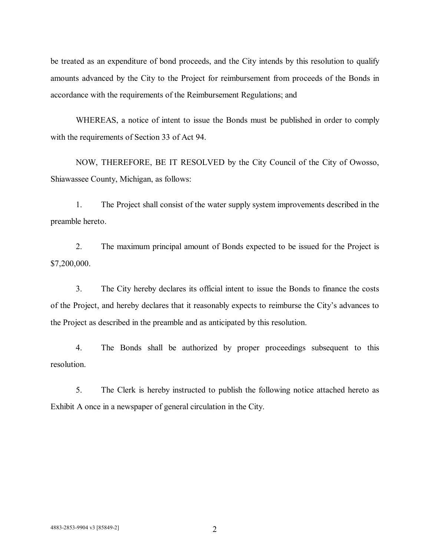be treated as an expenditure of bond proceeds, and the City intends by this resolution to qualify amounts advanced by the City to the Project for reimbursement from proceeds of the Bonds in accordance with the requirements of the Reimbursement Regulations; and

WHEREAS, a notice of intent to issue the Bonds must be published in order to comply with the requirements of Section 33 of Act 94.

NOW, THEREFORE, BE IT RESOLVED by the City Council of the City of Owosso, Shiawassee County, Michigan, as follows:

1. The Project shall consist of the water supply system improvements described in the preamble hereto.

2. The maximum principal amount of Bonds expected to be issued for the Project is \$7,200,000.

3. The City hereby declares its official intent to issue the Bonds to finance the costs of the Project, and hereby declares that it reasonably expects to reimburse the City's advances to the Project as described in the preamble and as anticipated by this resolution.

4. The Bonds shall be authorized by proper proceedings subsequent to this resolution.

5. The Clerk is hereby instructed to publish the following notice attached hereto as Exhibit A once in a newspaper of general circulation in the City.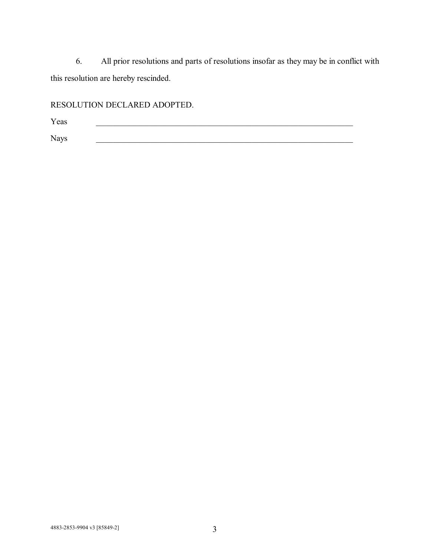6. All prior resolutions and parts of resolutions insofar as they may be in conflict with this resolution are hereby rescinded.

# RESOLUTION DECLARED ADOPTED.

Yeas **Executive 2008** Nays **Example 2018**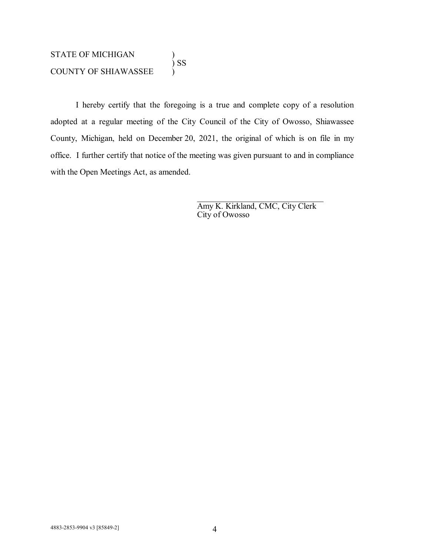### STATE OF MICHIGAN  $\big)$  SS COUNTY OF SHIAWASSEE )

I hereby certify that the foregoing is a true and complete copy of a resolution adopted at a regular meeting of the City Council of the City of Owosso, Shiawassee County, Michigan, held on December 20, 2021, the original of which is on file in my office. I further certify that notice of the meeting was given pursuant to and in compliance with the Open Meetings Act, as amended.

> Amy K. Kirkland, CMC, City Clerk City of Owosso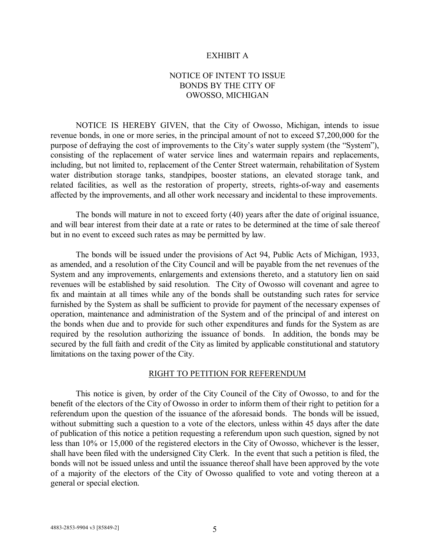#### EXHIBIT A

## NOTICE OF INTENT TO ISSUE BONDS BY THE CITY OF OWOSSO, MICHIGAN

NOTICE IS HEREBY GIVEN, that the City of Owosso, Michigan, intends to issue revenue bonds, in one or more series, in the principal amount of not to exceed \$7,200,000 for the purpose of defraying the cost of improvements to the City's water supply system (the "System"), consisting of the replacement of water service lines and watermain repairs and replacements, including, but not limited to, replacement of the Center Street watermain, rehabilitation of System water distribution storage tanks, standpipes, booster stations, an elevated storage tank, and related facilities, as well as the restoration of property, streets, rights-of-way and easements affected by the improvements, and all other work necessary and incidental to these improvements.

The bonds will mature in not to exceed forty (40) years after the date of original issuance, and will bear interest from their date at a rate or rates to be determined at the time of sale thereof but in no event to exceed such rates as may be permitted by law.

The bonds will be issued under the provisions of Act 94, Public Acts of Michigan, 1933, as amended, and a resolution of the City Council and will be payable from the net revenues of the System and any improvements, enlargements and extensions thereto, and a statutory lien on said revenues will be established by said resolution. The City of Owosso will covenant and agree to fix and maintain at all times while any of the bonds shall be outstanding such rates for service furnished by the System as shall be sufficient to provide for payment of the necessary expenses of operation, maintenance and administration of the System and of the principal of and interest on the bonds when due and to provide for such other expenditures and funds for the System as are required by the resolution authorizing the issuance of bonds. In addition, the bonds may be secured by the full faith and credit of the City as limited by applicable constitutional and statutory limitations on the taxing power of the City.

#### RIGHT TO PETITION FOR REFERENDUM

This notice is given, by order of the City Council of the City of Owosso, to and for the benefit of the electors of the City of Owosso in order to inform them of their right to petition for a referendum upon the question of the issuance of the aforesaid bonds. The bonds will be issued, without submitting such a question to a vote of the electors, unless within 45 days after the date of publication of this notice a petition requesting a referendum upon such question, signed by not less than 10% or 15,000 of the registered electors in the City of Owosso, whichever is the lesser, shall have been filed with the undersigned City Clerk. In the event that such a petition is filed, the bonds will not be issued unless and until the issuance thereof shall have been approved by the vote of a majority of the electors of the City of Owosso qualified to vote and voting thereon at a general or special election.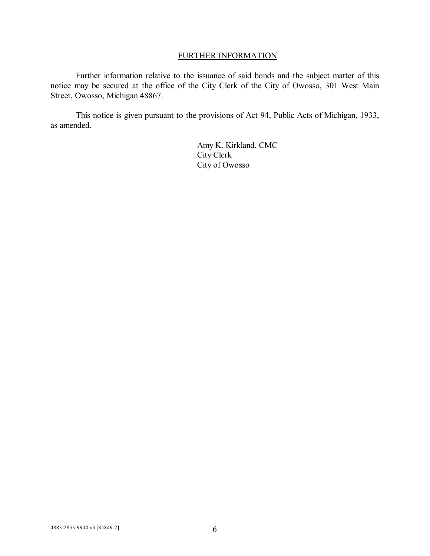## FURTHER INFORMATION

Further information relative to the issuance of said bonds and the subject matter of this notice may be secured at the office of the City Clerk of the City of Owosso, 301 West Main Street, Owosso, Michigan 48867.

This notice is given pursuant to the provisions of Act 94, Public Acts of Michigan, 1933, as amended.

> Amy K. Kirkland, CMC City Clerk City of Owosso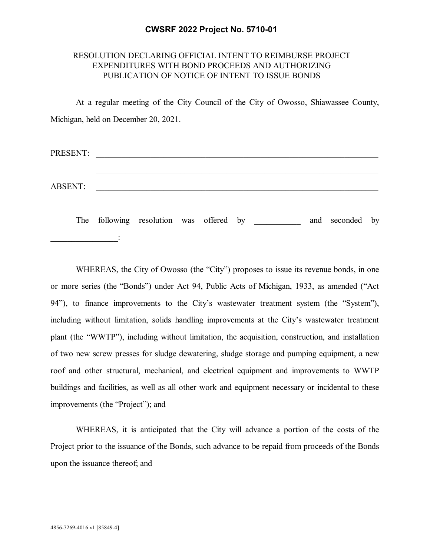### **CWSRF 2022 Project No. 5710-01**

## RESOLUTION DECLARING OFFICIAL INTENT TO REIMBURSE PROJECT EXPENDITURES WITH BOND PROCEEDS AND AUTHORIZING PUBLICATION OF NOTICE OF INTENT TO ISSUE BONDS

At a regular meeting of the City Council of the City of Owosso, Shiawassee County, Michigan, held on December 20, 2021.

| PRESENT:       |  |  |  |
|----------------|--|--|--|
|                |  |  |  |
| <b>ABSENT:</b> |  |  |  |
|                |  |  |  |

The following resolution was offered by and seconded by  $\frac{1}{2}$ 

WHEREAS, the City of Owosso (the "City") proposes to issue its revenue bonds, in one or more series (the "Bonds") under Act 94, Public Acts of Michigan, 1933, as amended ("Act 94"), to finance improvements to the City's wastewater treatment system (the "System"), including without limitation, solids handling improvements at the City's wastewater treatment plant (the "WWTP"), including without limitation, the acquisition, construction, and installation of two new screw presses for sludge dewatering, sludge storage and pumping equipment, a new roof and other structural, mechanical, and electrical equipment and improvements to WWTP buildings and facilities, as well as all other work and equipment necessary or incidental to these improvements (the "Project"); and

WHEREAS, it is anticipated that the City will advance a portion of the costs of the Project prior to the issuance of the Bonds, such advance to be repaid from proceeds of the Bonds upon the issuance thereof; and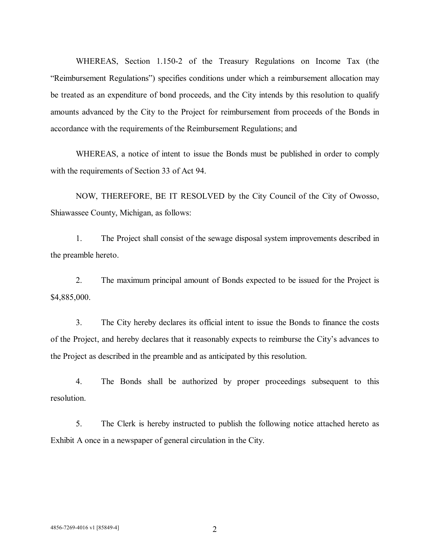WHEREAS, Section 1.150-2 of the Treasury Regulations on Income Tax (the "Reimbursement Regulations") specifies conditions under which a reimbursement allocation may be treated as an expenditure of bond proceeds, and the City intends by this resolution to qualify amounts advanced by the City to the Project for reimbursement from proceeds of the Bonds in accordance with the requirements of the Reimbursement Regulations; and

WHEREAS, a notice of intent to issue the Bonds must be published in order to comply with the requirements of Section 33 of Act 94.

NOW, THEREFORE, BE IT RESOLVED by the City Council of the City of Owosso, Shiawassee County, Michigan, as follows:

1. The Project shall consist of the sewage disposal system improvements described in the preamble hereto.

2. The maximum principal amount of Bonds expected to be issued for the Project is \$4,885,000.

3. The City hereby declares its official intent to issue the Bonds to finance the costs of the Project, and hereby declares that it reasonably expects to reimburse the City's advances to the Project as described in the preamble and as anticipated by this resolution.

4. The Bonds shall be authorized by proper proceedings subsequent to this resolution.

5. The Clerk is hereby instructed to publish the following notice attached hereto as Exhibit A once in a newspaper of general circulation in the City.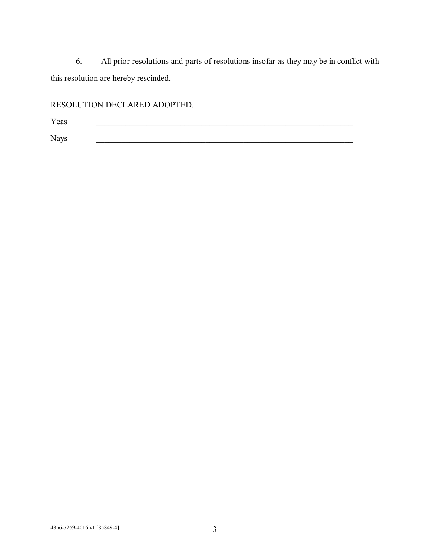6. All prior resolutions and parts of resolutions insofar as they may be in conflict with this resolution are hereby rescinded.

# RESOLUTION DECLARED ADOPTED.

Yeas **Executive 2008** Nays \_\_\_\_\_\_\_\_\_\_\_\_\_\_\_\_\_\_\_\_\_\_\_\_\_\_\_\_\_\_\_\_\_\_\_\_\_\_\_\_\_\_\_\_\_\_\_\_\_\_\_\_\_\_\_\_\_\_\_\_\_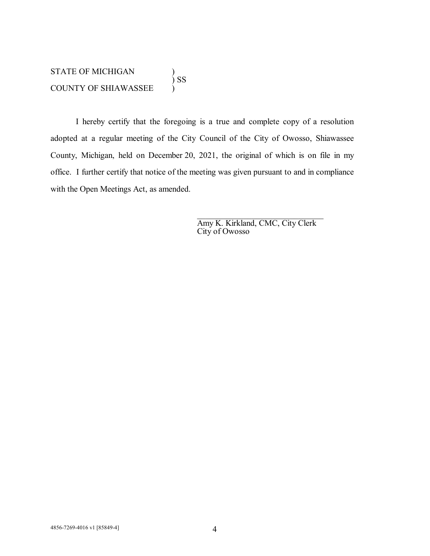I hereby certify that the foregoing is a true and complete copy of a resolution adopted at a regular meeting of the City Council of the City of Owosso, Shiawassee County, Michigan, held on December 20, 2021, the original of which is on file in my office. I further certify that notice of the meeting was given pursuant to and in compliance with the Open Meetings Act, as amended.

> Amy K. Kirkland, CMC, City Clerk City of Owosso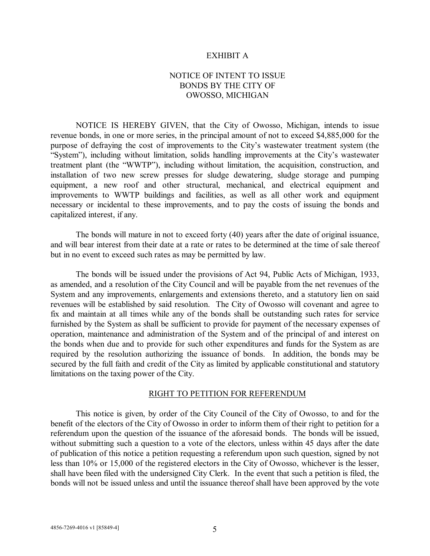#### EXHIBIT A

## NOTICE OF INTENT TO ISSUE BONDS BY THE CITY OF OWOSSO, MICHIGAN

NOTICE IS HEREBY GIVEN, that the City of Owosso, Michigan, intends to issue revenue bonds, in one or more series, in the principal amount of not to exceed \$4,885,000 for the purpose of defraying the cost of improvements to the City's wastewater treatment system (the "System"), including without limitation, solids handling improvements at the City's wastewater treatment plant (the "WWTP"), including without limitation, the acquisition, construction, and installation of two new screw presses for sludge dewatering, sludge storage and pumping equipment, a new roof and other structural, mechanical, and electrical equipment and improvements to WWTP buildings and facilities, as well as all other work and equipment necessary or incidental to these improvements, and to pay the costs of issuing the bonds and capitalized interest, if any.

The bonds will mature in not to exceed forty (40) years after the date of original issuance, and will bear interest from their date at a rate or rates to be determined at the time of sale thereof but in no event to exceed such rates as may be permitted by law.

The bonds will be issued under the provisions of Act 94, Public Acts of Michigan, 1933, as amended, and a resolution of the City Council and will be payable from the net revenues of the System and any improvements, enlargements and extensions thereto, and a statutory lien on said revenues will be established by said resolution. The City of Owosso will covenant and agree to fix and maintain at all times while any of the bonds shall be outstanding such rates for service furnished by the System as shall be sufficient to provide for payment of the necessary expenses of operation, maintenance and administration of the System and of the principal of and interest on the bonds when due and to provide for such other expenditures and funds for the System as are required by the resolution authorizing the issuance of bonds. In addition, the bonds may be secured by the full faith and credit of the City as limited by applicable constitutional and statutory limitations on the taxing power of the City.

#### RIGHT TO PETITION FOR REFERENDUM

This notice is given, by order of the City Council of the City of Owosso, to and for the benefit of the electors of the City of Owosso in order to inform them of their right to petition for a referendum upon the question of the issuance of the aforesaid bonds. The bonds will be issued, without submitting such a question to a vote of the electors, unless within 45 days after the date of publication of this notice a petition requesting a referendum upon such question, signed by not less than 10% or 15,000 of the registered electors in the City of Owosso, whichever is the lesser, shall have been filed with the undersigned City Clerk. In the event that such a petition is filed, the bonds will not be issued unless and until the issuance thereof shall have been approved by the vote